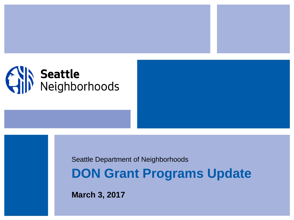

Seattle Department of Neighborhoods

**DON Grant Programs Update**

**March 3, 2017**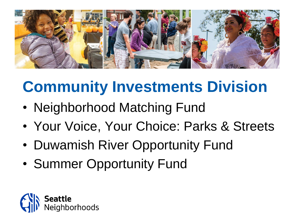

# **Community Investments Division**

- Neighborhood Matching Fund
- Your Voice, Your Choice: Parks & Streets
- Duwamish River Opportunity Fund
- Summer Opportunity Fund

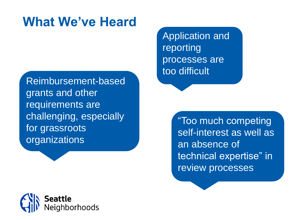#### **What We've Heard**

Reimbursement-based grants and other requirements are challenging, especially for grassroots organizations

Application and reporting processes are too difficult

> "Too much competing self-interest as well as an absence of technical expertise" in review processes

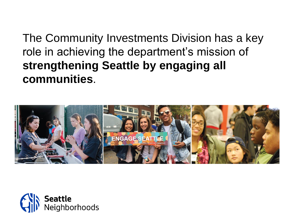The Community Investments Division has a key role in achieving the department's mission of **strengthening Seattle by engaging all communities**.



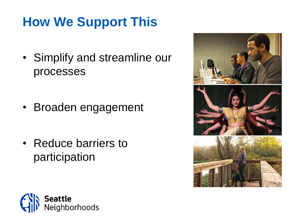## **How We Support This**

• Simplify and streamline our processes

• Broaden engagement

• Reduce barriers to participation



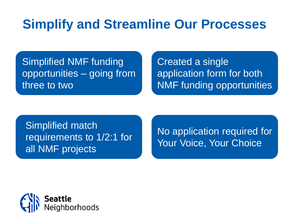#### **Simplify and Streamline Our Processes**

Simplified NMF funding opportunities – going from three to two

Created a single application form for both NMF funding opportunities

Simplified match requirements to 1/2:1 for all NMF projects

No application required for Your Voice, Your Choice

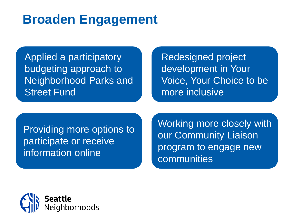#### **Broaden Engagement**

Applied a participatory budgeting approach to Neighborhood Parks and Street Fund

Redesigned project development in Your Voice, Your Choice to be more inclusive

Providing more options to participate or receive information online

Working more closely with our Community Liaison program to engage new communities

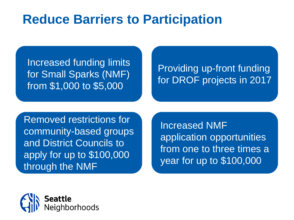#### **Reduce Barriers to Participation**

Increased funding limits for Small Sparks (NMF) from \$1,000 to \$5,000

#### Providing up-front funding for DROF projects in 2017

Removed restrictions for community-based groups and District Councils to apply for up to \$100,000 through the NMF

Increased NMF application opportunities from one to three times a year for up to \$100,000

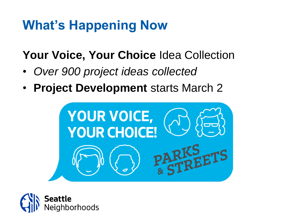#### **What's Happening Now**

**Your Voice, Your Choice** Idea Collection

- *Over 900 project ideas collected*
- **Project Development** starts March 2



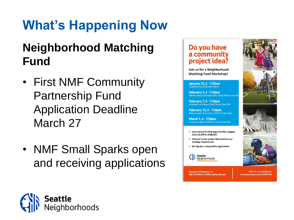# **What's Happening Now**

#### **Neighborhood Matching Fund**

- First NMF Community Partnership Fund Application Deadline March 27
- NMF Small Sparks open and receiving applications

#### Do you have a community project idea?

Join us for a Neighborhood **Matching Fund Workshop!** 

January 25, 6 - 7:30pm 2100 Building (2100 24th Ave S)

**February 2, 6 - 7:30pm** Phinney Neighborhood Center (6532 Phinney Ave N

February 7, 6 - 7:30pm Neighborhood House (6400 Sylvan Way SW)

February 15, 6 - 7:30pm Bailey Gatzert Elementary (1301 E Yesler Way)

March 1, 6 - 7:30pm University Heights (5031 University Way NE)

• Learn about funding opportunities ranging from \$1,000 to \$100,000.

- Find out if your project idea matches our funding requirements.
- Get tips for a competitive application.

Seattle Neighborhoods

**Questions? Contact us at** 206-733-9916 or NMFund@seattle.gov

**RSVP** for a workshop at: surveymonkey.com/r/SNJDYDH

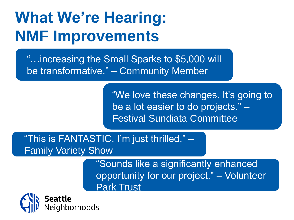# **What We're Hearing: NMF Improvements**

"…increasing the Small Sparks to \$5,000 will be transformative." – Community Member

> "We love these changes. It's going to be a lot easier to do projects." – Festival Sundiata Committee

"This is FANTASTIC. I'm just thrilled." – Family Variety Show

> "Sounds like a significantly enhanced opportunity for our project." – Volunteer Park Trust